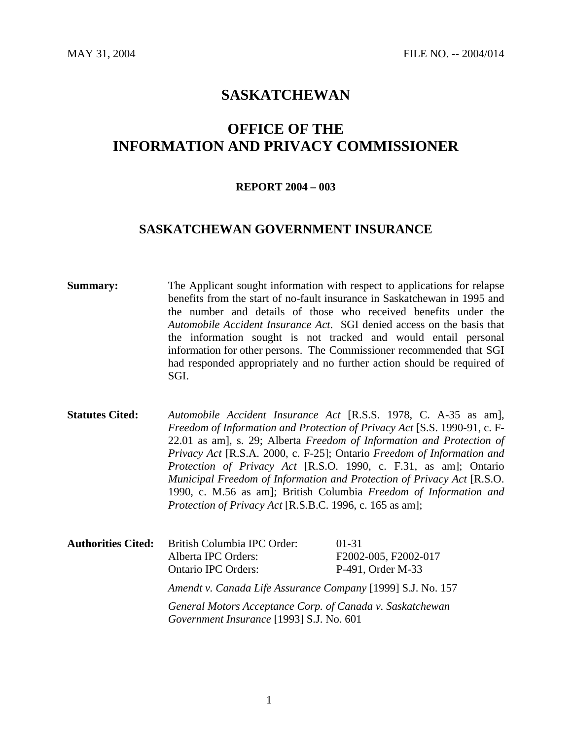# **SASKATCHEWAN**

# **OFFICE OF THE INFORMATION AND PRIVACY COMMISSIONER**

#### **REPORT 2004 – 003**

## **SASKATCHEWAN GOVERNMENT INSURANCE**

**Summary:** The Applicant sought information with respect to applications for relapse benefits from the start of no-fault insurance in Saskatchewan in 1995 and the number and details of those who received benefits under the *Automobile Accident Insurance Act*. SGI denied access on the basis that the information sought is not tracked and would entail personal information for other persons. The Commissioner recommended that SGI had responded appropriately and no further action should be required of SGI.

**Statutes Cited:** *Automobile Accident Insurance Act* [R.S.S. 1978, C. A-35 as am], *Freedom of Information and Protection of Privacy Act* [S.S. 1990-91, c. F-22.01 as am], s. 29; Alberta *Freedom of Information and Protection of Privacy Act* [R.S.A. 2000, c. F-25]; Ontario *Freedom of Information and Protection of Privacy Act* [R.S.O. 1990, c. F.31, as am]; Ontario *Municipal Freedom of Information and Protection of Privacy Act* [R.S.O. 1990, c. M.56 as am]; British Columbia *Freedom of Information and Protection of Privacy Act* [R.S.B.C. 1996, c. 165 as am];

**Authorities Cited:** British Columbia IPC Order: 01-31 Alberta IPC Orders: F2002-005, F2002-017 Ontario IPC Orders: P-491, Order M-33 *Amendt v. Canada Life Assurance Company* [1999] S.J. No. 157 *General Motors Acceptance Corp. of Canada v. Saskatchewan Government Insurance* [1993] S.J. No. 601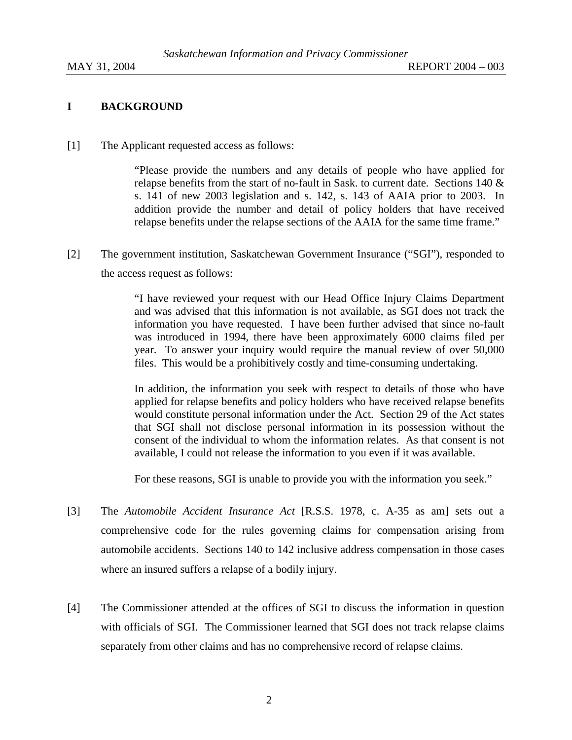## **I BACKGROUND**

[1] The Applicant requested access as follows:

"Please provide the numbers and any details of people who have applied for relapse benefits from the start of no-fault in Sask. to current date. Sections 140 & s. 141 of new 2003 legislation and s. 142, s. 143 of AAIA prior to 2003. In addition provide the number and detail of policy holders that have received relapse benefits under the relapse sections of the AAIA for the same time frame."

[2] The government institution, Saskatchewan Government Insurance ("SGI"), responded to the access request as follows:

> "I have reviewed your request with our Head Office Injury Claims Department and was advised that this information is not available, as SGI does not track the information you have requested. I have been further advised that since no-fault was introduced in 1994, there have been approximately 6000 claims filed per year. To answer your inquiry would require the manual review of over 50,000 files. This would be a prohibitively costly and time-consuming undertaking.

> In addition, the information you seek with respect to details of those who have applied for relapse benefits and policy holders who have received relapse benefits would constitute personal information under the Act. Section 29 of the Act states that SGI shall not disclose personal information in its possession without the consent of the individual to whom the information relates. As that consent is not available, I could not release the information to you even if it was available.

For these reasons, SGI is unable to provide you with the information you seek."

- [3] The *Automobile Accident Insurance Act* [R.S.S. 1978, c. A-35 as am] sets out a comprehensive code for the rules governing claims for compensation arising from automobile accidents. Sections 140 to 142 inclusive address compensation in those cases where an insured suffers a relapse of a bodily injury.
- [4] The Commissioner attended at the offices of SGI to discuss the information in question with officials of SGI. The Commissioner learned that SGI does not track relapse claims separately from other claims and has no comprehensive record of relapse claims.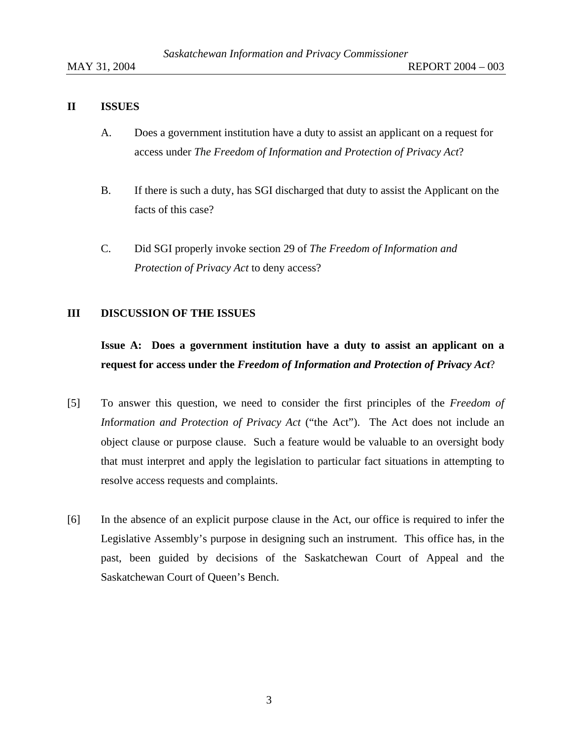### **II ISSUES**

- A. Does a government institution have a duty to assist an applicant on a request for access under *The Freedom of Information and Protection of Privacy Act*?
- B. If there is such a duty, has SGI discharged that duty to assist the Applicant on the facts of this case?
- C. Did SGI properly invoke section 29 of *The Freedom of Information and Protection of Privacy Act* to deny access?

### **III DISCUSSION OF THE ISSUES**

# **Issue A: Does a government institution have a duty to assist an applicant on a request for access under the** *Freedom of Information and Protection of Privacy Act*?

- [5] To answer this question, we need to consider the first principles of the *Freedom of In*f*ormation and Protection of Privacy Act* ("the Act"). The Act does not include an object clause or purpose clause. Such a feature would be valuable to an oversight body that must interpret and apply the legislation to particular fact situations in attempting to resolve access requests and complaints.
- [6] In the absence of an explicit purpose clause in the Act, our office is required to infer the Legislative Assembly's purpose in designing such an instrument. This office has, in the past, been guided by decisions of the Saskatchewan Court of Appeal and the Saskatchewan Court of Queen's Bench.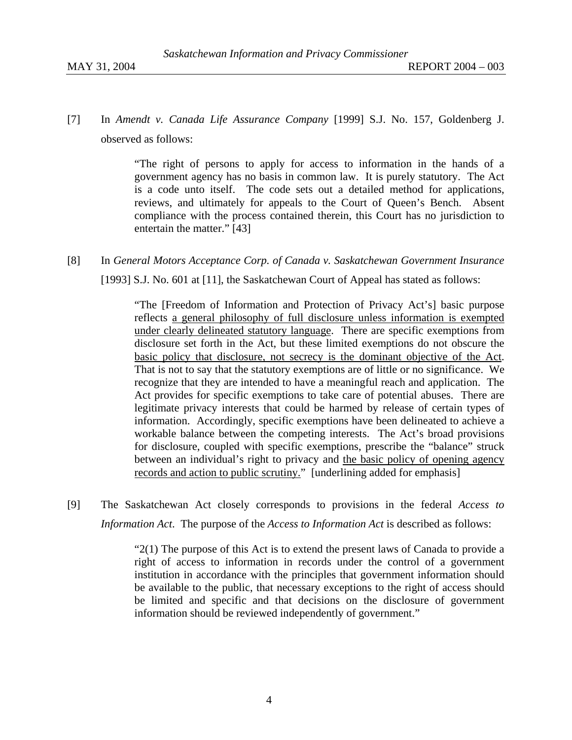[7] In *Amendt v. Canada Life Assurance Company* [1999] S.J. No. 157, Goldenberg J. observed as follows:

> "The right of persons to apply for access to information in the hands of a government agency has no basis in common law. It is purely statutory. The Act is a code unto itself. The code sets out a detailed method for applications, reviews, and ultimately for appeals to the Court of Queen's Bench. Absent compliance with the process contained therein, this Court has no jurisdiction to entertain the matter." [43]

#### [8] In *General Motors Acceptance Corp. of Canada v. Saskatchewan Government Insurance*

[1993] S.J. No. 601 at [11], the Saskatchewan Court of Appeal has stated as follows:

"The [Freedom of Information and Protection of Privacy Act's] basic purpose reflects a general philosophy of full disclosure unless information is exempted under clearly delineated statutory language. There are specific exemptions from disclosure set forth in the Act, but these limited exemptions do not obscure the basic policy that disclosure, not secrecy is the dominant objective of the Act. That is not to say that the statutory exemptions are of little or no significance. We recognize that they are intended to have a meaningful reach and application. The Act provides for specific exemptions to take care of potential abuses. There are legitimate privacy interests that could be harmed by release of certain types of information. Accordingly, specific exemptions have been delineated to achieve a workable balance between the competing interests. The Act's broad provisions for disclosure, coupled with specific exemptions, prescribe the "balance" struck between an individual's right to privacy and the basic policy of opening agency records and action to public scrutiny." [underlining added for emphasis]

[9] The Saskatchewan Act closely corresponds to provisions in the federal *Access to Information Act*. The purpose of the *Access to Information Act* is described as follows:

> " $2(1)$  The purpose of this Act is to extend the present laws of Canada to provide a right of access to information in records under the control of a government institution in accordance with the principles that government information should be available to the public, that necessary exceptions to the right of access should be limited and specific and that decisions on the disclosure of government information should be reviewed independently of government."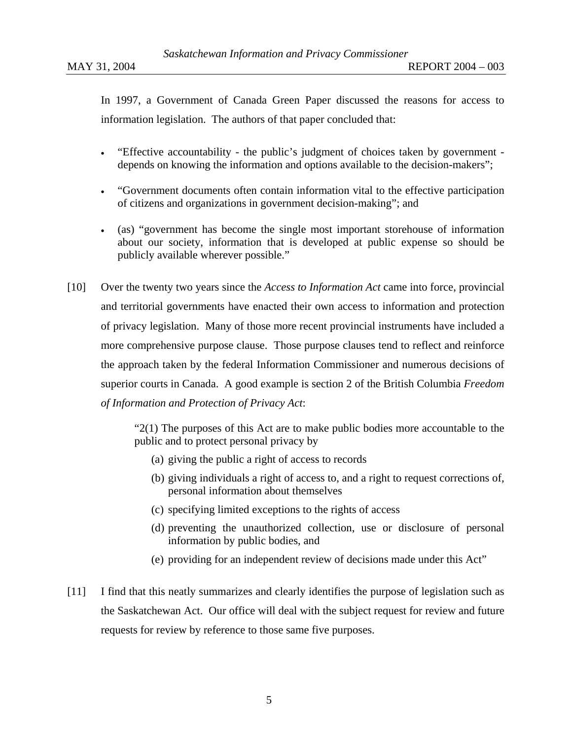In 1997, a Government of Canada Green Paper discussed the reasons for access to information legislation. The authors of that paper concluded that:

- "Effective accountability the public's judgment of choices taken by government depends on knowing the information and options available to the decision-makers";
- "Government documents often contain information vital to the effective participation of citizens and organizations in government decision-making"; and
- (as) "government has become the single most important storehouse of information about our society, information that is developed at public expense so should be publicly available wherever possible."
- [10] Over the twenty two years since the *Access to Information Act* came into force, provincial and territorial governments have enacted their own access to information and protection of privacy legislation. Many of those more recent provincial instruments have included a more comprehensive purpose clause. Those purpose clauses tend to reflect and reinforce the approach taken by the federal Information Commissioner and numerous decisions of superior courts in Canada. A good example is section 2 of the British Columbia *Freedom of Information and Protection of Privacy Act*:

 $2(1)$  The purposes of this Act are to make public bodies more accountable to the public and to protect personal privacy by

- (a) giving the public a right of access to records
- (b) giving individuals a right of access to, and a right to request corrections of, personal information about themselves
- (c) specifying limited exceptions to the rights of access
- (d) preventing the unauthorized collection, use or disclosure of personal information by public bodies, and
- (e) providing for an independent review of decisions made under this Act"
- [11] I find that this neatly summarizes and clearly identifies the purpose of legislation such as the Saskatchewan Act. Our office will deal with the subject request for review and future requests for review by reference to those same five purposes.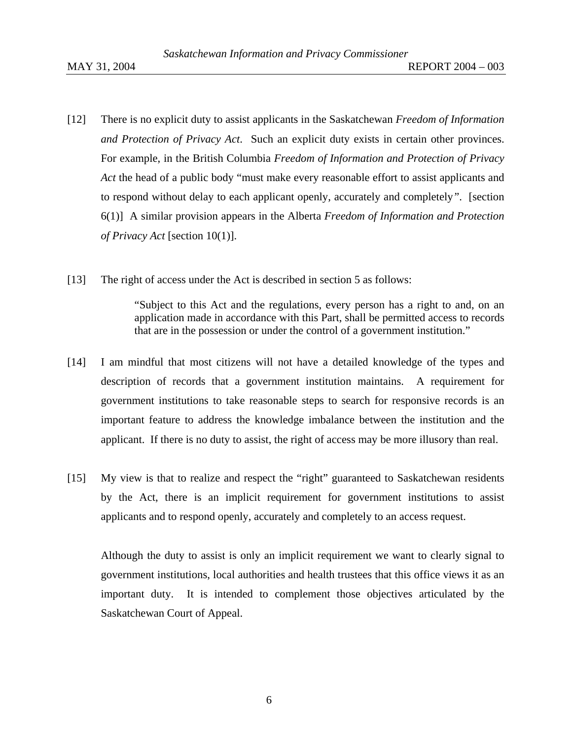- [12] There is no explicit duty to assist applicants in the Saskatchewan *Freedom of Information and Protection of Privacy Act*. Such an explicit duty exists in certain other provinces. For example, in the British Columbia *Freedom of Information and Protection of Privacy Act* the head of a public body "must make every reasonable effort to assist applicants and to respond without delay to each applicant openly, accurately and completely*"*. [section 6(1)] A similar provision appears in the Alberta *Freedom of Information and Protection of Privacy Act* [section 10(1)].
- [13] The right of access under the Act is described in section 5 as follows:

"Subject to this Act and the regulations, every person has a right to and, on an application made in accordance with this Part, shall be permitted access to records that are in the possession or under the control of a government institution."

- [14] I am mindful that most citizens will not have a detailed knowledge of the types and description of records that a government institution maintains. A requirement for government institutions to take reasonable steps to search for responsive records is an important feature to address the knowledge imbalance between the institution and the applicant. If there is no duty to assist, the right of access may be more illusory than real.
- [15] My view is that to realize and respect the "right" guaranteed to Saskatchewan residents by the Act, there is an implicit requirement for government institutions to assist applicants and to respond openly, accurately and completely to an access request.

Although the duty to assist is only an implicit requirement we want to clearly signal to government institutions, local authorities and health trustees that this office views it as an important duty. It is intended to complement those objectives articulated by the Saskatchewan Court of Appeal.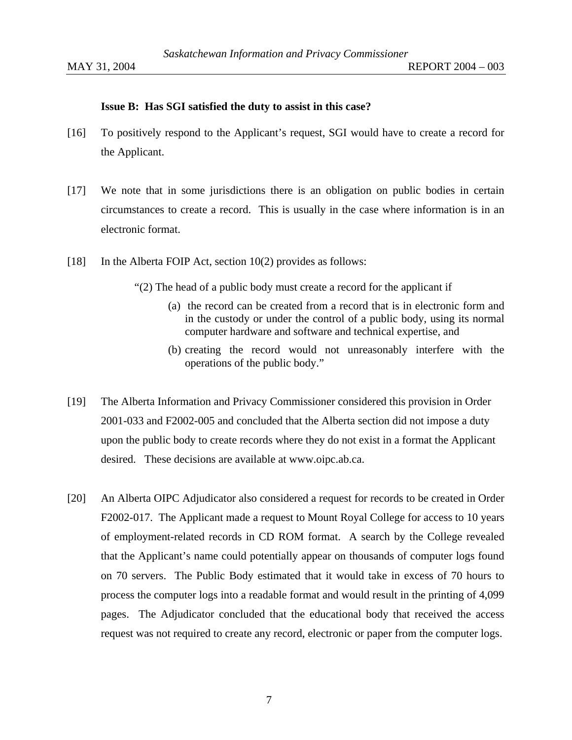#### **Issue B: Has SGI satisfied the duty to assist in this case?**

- [16] To positively respond to the Applicant's request, SGI would have to create a record for the Applicant.
- [17] We note that in some jurisdictions there is an obligation on public bodies in certain circumstances to create a record. This is usually in the case where information is in an electronic format.
- [18] In the Alberta FOIP Act, section 10(2) provides as follows:

"(2) The head of a public body must create a record for the applicant if

- (a) the record can be created from a record that is in electronic form and in the custody or under the control of a public body, using its normal computer hardware and software and technical expertise, and
- (b) creating the record would not unreasonably interfere with the operations of the public body."
- [19] The Alberta Information and Privacy Commissioner considered this provision in Order 2001-033 and F2002-005 and concluded that the Alberta section did not impose a duty upon the public body to create records where they do not exist in a format the Applicant desired. These decisions are available at www.oipc.ab.ca.
- [20] An Alberta OIPC Adjudicator also considered a request for records to be created in Order F2002-017. The Applicant made a request to Mount Royal College for access to 10 years of employment-related records in CD ROM format. A search by the College revealed that the Applicant's name could potentially appear on thousands of computer logs found on 70 servers. The Public Body estimated that it would take in excess of 70 hours to process the computer logs into a readable format and would result in the printing of 4,099 pages. The Adjudicator concluded that the educational body that received the access request was not required to create any record, electronic or paper from the computer logs.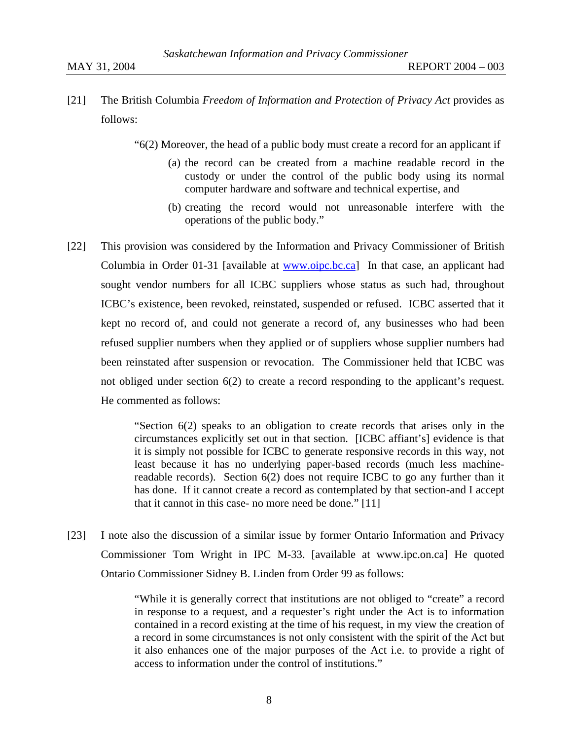[21] The British Columbia *Freedom of Information and Protection of Privacy Act* provides as

follows:

- $^{6}(2)$  Moreover, the head of a public body must create a record for an applicant if
	- (a) the record can be created from a machine readable record in the custody or under the control of the public body using its normal computer hardware and software and technical expertise, and
	- (b) creating the record would not unreasonable interfere with the operations of the public body."
- [22] This provision was considered by the Information and Privacy Commissioner of British Columbia in Order 01-31 [available at www.oipc.bc.ca] In that case, an applicant had sought vendor numbers for all ICBC suppliers whose status as such had, throughout ICBC's existence, been revoked, reinstated, suspended or refused. ICBC asserted that it kept no record of, and could not generate a record of, any businesses who had been refused supplier numbers when they applied or of suppliers whose supplier numbers had been reinstated after suspension or revocation. The Commissioner held that ICBC was not obliged under section 6(2) to create a record responding to the applicant's request. He commented as follows:

"Section 6(2) speaks to an obligation to create records that arises only in the circumstances explicitly set out in that section. [ICBC affiant's] evidence is that it is simply not possible for ICBC to generate responsive records in this way, not least because it has no underlying paper-based records (much less machinereadable records). Section 6(2) does not require ICBC to go any further than it has done. If it cannot create a record as contemplated by that section-and I accept that it cannot in this case- no more need be done." [11]

[23] I note also the discussion of a similar issue by former Ontario Information and Privacy Commissioner Tom Wright in IPC M-33. [available at www.ipc.on.ca] He quoted Ontario Commissioner Sidney B. Linden from Order 99 as follows:

> "While it is generally correct that institutions are not obliged to "create" a record in response to a request, and a requester's right under the Act is to information contained in a record existing at the time of his request, in my view the creation of a record in some circumstances is not only consistent with the spirit of the Act but it also enhances one of the major purposes of the Act i.e. to provide a right of access to information under the control of institutions."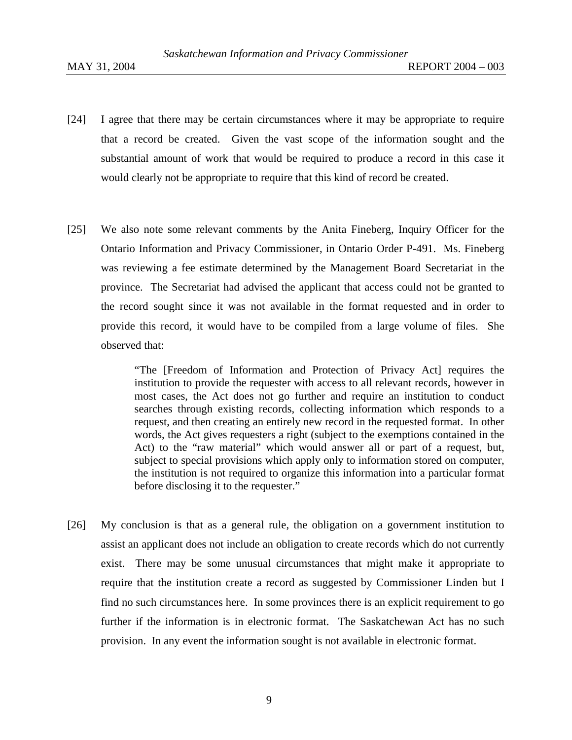- [24] I agree that there may be certain circumstances where it may be appropriate to require that a record be created. Given the vast scope of the information sought and the substantial amount of work that would be required to produce a record in this case it would clearly not be appropriate to require that this kind of record be created.
- [25] We also note some relevant comments by the Anita Fineberg, Inquiry Officer for the Ontario Information and Privacy Commissioner, in Ontario Order P-491. Ms. Fineberg was reviewing a fee estimate determined by the Management Board Secretariat in the province. The Secretariat had advised the applicant that access could not be granted to the record sought since it was not available in the format requested and in order to provide this record, it would have to be compiled from a large volume of files. She observed that:

"The [Freedom of Information and Protection of Privacy Act] requires the institution to provide the requester with access to all relevant records, however in most cases, the Act does not go further and require an institution to conduct searches through existing records, collecting information which responds to a request, and then creating an entirely new record in the requested format. In other words, the Act gives requesters a right (subject to the exemptions contained in the Act) to the "raw material" which would answer all or part of a request, but, subject to special provisions which apply only to information stored on computer, the institution is not required to organize this information into a particular format before disclosing it to the requester."

[26]My conclusion is that as a general rule, the obligation on a government institution to assist an applicant does not include an obligation to create records which do not currently exist. There may be some unusual circumstances that might make it appropriate to require that the institution create a record as suggested by Commissioner Linden but I find no such circumstances here. In some provinces there is an explicit requirement to go further if the information is in electronic format. The Saskatchewan Act has no such provision. In any event the information sought is not available in electronic format.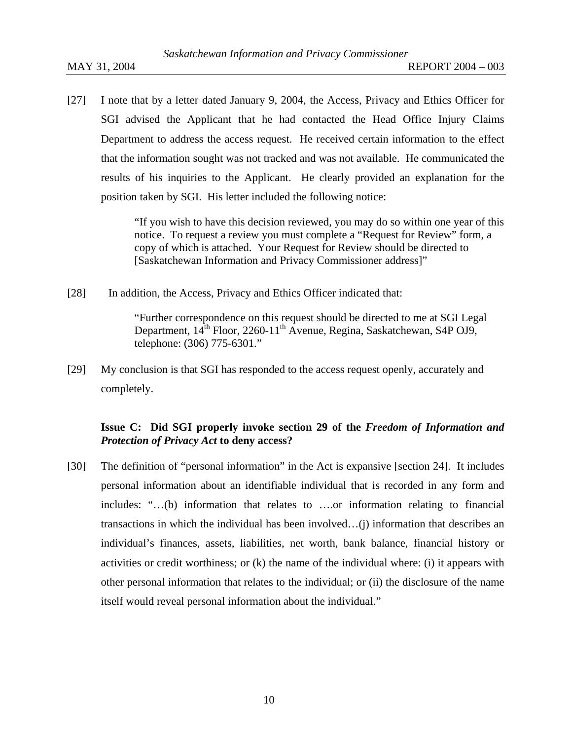[27] I note that by a letter dated January 9, 2004, the Access, Privacy and Ethics Officer for SGI advised the Applicant that he had contacted the Head Office Injury Claims Department to address the access request. He received certain information to the effect that the information sought was not tracked and was not available. He communicated the results of his inquiries to the Applicant. He clearly provided an explanation for the position taken by SGI. His letter included the following notice:

> "If you wish to have this decision reviewed, you may do so within one year of this notice. To request a review you must complete a "Request for Review" form, a copy of which is attached. Your Request for Review should be directed to [Saskatchewan Information and Privacy Commissioner address]"

[28] In addition, the Access, Privacy and Ethics Officer indicated that:

"Further correspondence on this request should be directed to me at SGI Legal Department,  $14^{th}$  Floor, 2260-11<sup>th</sup> Avenue, Regina, Saskatchewan, S4P OJ9, telephone: (306) 775-6301."

[29] My conclusion is that SGI has responded to the access request openly, accurately and completely.

## **Issue C: Did SGI properly invoke section 29 of the** *Freedom of Information and Protection of Privacy Act* **to deny access?**

[30] The definition of "personal information" in the Act is expansive [section 24]. It includes personal information about an identifiable individual that is recorded in any form and includes: "…(b) information that relates to ….or information relating to financial transactions in which the individual has been involved…(j) information that describes an individual's finances, assets, liabilities, net worth, bank balance, financial history or activities or credit worthiness; or  $(k)$  the name of the individual where: (i) it appears with other personal information that relates to the individual; or (ii) the disclosure of the name itself would reveal personal information about the individual."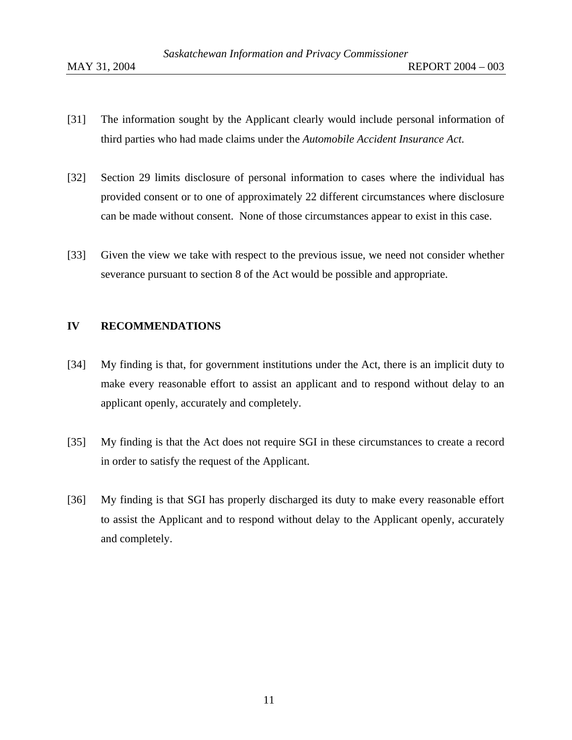- [31] The information sought by the Applicant clearly would include personal information of third parties who had made claims under the *Automobile Accident Insurance Act.*
- [32] Section 29 limits disclosure of personal information to cases where the individual has provided consent or to one of approximately 22 different circumstances where disclosure can be made without consent. None of those circumstances appear to exist in this case.
- [33] Given the view we take with respect to the previous issue, we need not consider whether severance pursuant to section 8 of the Act would be possible and appropriate.

## **IV RECOMMENDATIONS**

- [34] My finding is that, for government institutions under the Act, there is an implicit duty to make every reasonable effort to assist an applicant and to respond without delay to an applicant openly, accurately and completely.
- [35] My finding is that the Act does not require SGI in these circumstances to create a record in order to satisfy the request of the Applicant.
- [36] My finding is that SGI has properly discharged its duty to make every reasonable effort to assist the Applicant and to respond without delay to the Applicant openly, accurately and completely.